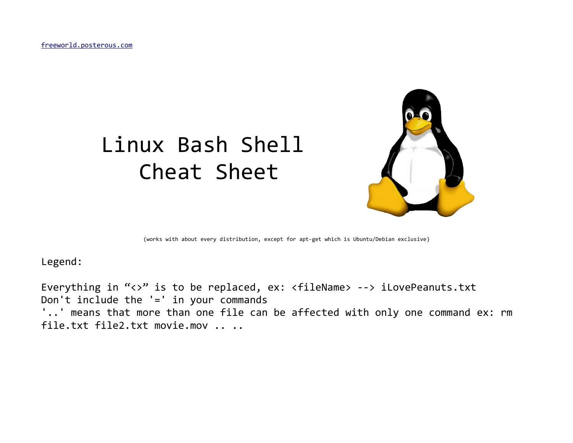[freeworld.posterous.com](http://freeworld.posterous.com/)

# Linux Bash Shell Cheat Sheet



(works with about every distribution, except for apt-get which is Ubuntu/Debian exclusive)

Legend:

Everything in "<>" is to be replaced, ex: <fileName> --> iLovePeanuts.txt Don't include the '=' in your commands '..' means that more than one file can be affected with only one command ex: rm file.txt file2.txt movie.mov .. ..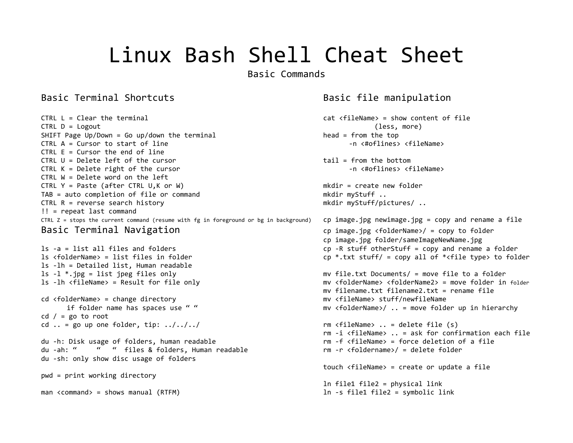Basic Commands

### Basic Terminal Shortcuts **Basic file manipulation**

CTRL L = Clear the terminal cat <fileName> = show content of file CTRL D = Logout (less, more) SHIFT Page Up/Down = Go up/down the terminal head = from the top CTRL A = Cursor to start of line -n <#oflines> <fileName> CTRL  $E =$  Cursor the end of line CTRL U = Delete left of the cursor tail = from the bottom CTRL K = Delete right of the cursor -n <#oflines> <fileName> CTRL W = Delete word on the left CTRL Y = Paste (after CTRL U,K or W) mkdir = create new folder TAB = auto completion of file or command mkdir myStuff .. CTRL R = reverse search history example and the matrix of the multiple mode matrix  $\sim$  mkdir myStuff/pictures/ .. !! = repeat last command CTRL  $Z =$  stops the current command (resume with fg in foreground or bg in background) cp image.jpg newimage.jpg = copy and rename a file

ls -lh = Detailed list, Human readable cd <folderName> = change directory mv <fileName> stuff/newfileName cd  $/$  = go to root cd  $\ldots$  = go up one folder, tip:  $\ldots$ ,  $\ldots$ ,  $\ldots$ ,  $\ldots$  rm <fileName>  $\ldots$  = delete file (s) du -h: Disk usage of folders, human readable extending the rm -f <fileName> = force deletion of a file du -ah: " " " files & folders, Human readable entitled the rm -r <foldername>/ = delete folder du -sh: only show disc usage of folders

pwd = print working directory

man <command> = shows manual (RTFM) discussed to the state of the state of the symbolic link

Basic Terminal Navigation cp image.jpg <folderName>/ = copy to folder cp image.jpg folder/sameImageNewName.jpg ls -a = list all files and folders cp -R stuff otherStuff = copy and rename a folder ls <folderName> = list files in folder cp \*.txt stuff/ = copy all of \*<file type> to folder ls -l \*.jpg = list jpeg files only mv file.txt Documents/ = move file to a folder ls -lh <fileName> = Result for file only mv <folderName> <folderName2> = move folder in folder mv filename.txt filename2.txt = rename file if folder name has spaces use " " " The my <folderName>/ .. = move folder up in hierarchy rm -i <fileName> .. = ask for confirmation each file touch <fileName> = create or update a file ln file1 file2 = physical link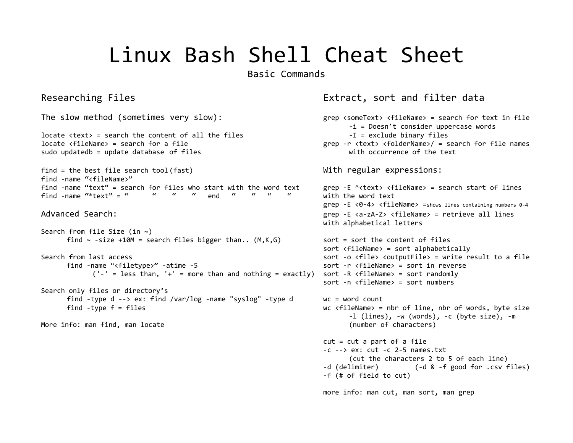Basic Commands

### Researching Files Extract, sort and filter data

```
The slow method (sometimes very slow): grep <someText> <fileName> = search for text in file
                                                               -i = Doesn't consider uppercase words
locate <text> = search the content of all the files -I = exclude binary files
locate <fileName> = search for a file grep -r <text> <folderName>/ = search for file names
sudo updatedb = update database of files with occurrence of the text
find = the best file search tool (fast) With regular expressions:
find -name "<fileName>"
find -name "text" = search for files who start with the word text grep -E ^<text> <fileName> = search start of lines
find -name "*text" = " " " " end " " " " with the word text
                                                          grep -E <0-4> <fileName> =shows lines containing numbers 0-4
Advanced Search: grep -E <a-zA-Z> <fileName> = retrieve all lines 
                                                          with alphabetical letters
Search from file Size (in ~)
     find \sim -size +10M = search files bigger than.. (M,K,G) sort = sort the content of files
                                                          sort <fileName> = sort alphabetically
Search from last access sort -o <file> <outputFile> = write result to a file
     find -name "<filetype>" -atime -5 sort -r <fileName> = sort in reverse
          ('-' = less than, '+' = more than and nothing = exactly) sort -R <i>f</i> fileName&gt; = sort randomlysort -n <fileName> = sort numbers
Search only files or directory's
     find -type d --> ex: find /var/log -name "syslog" -type d wc = word count
     find -type f = files wc <fileName> = nbr of line, nbr of words, byte size
                                                               -l (lines), -w (words), -c (byte size), -m
More info: man find, man locate (number of characters) (number of characters)
                                                          cut = cut a part of a file-c --> ex: cut -c 2-5 names.txt
                                                               (cut the characters 2 to 5 of each line)
                                                          -d (delimiter) (-d & -f good for .csv files)
                                                          -f (# of field to cut)
```
more info: man cut, man sort, man grep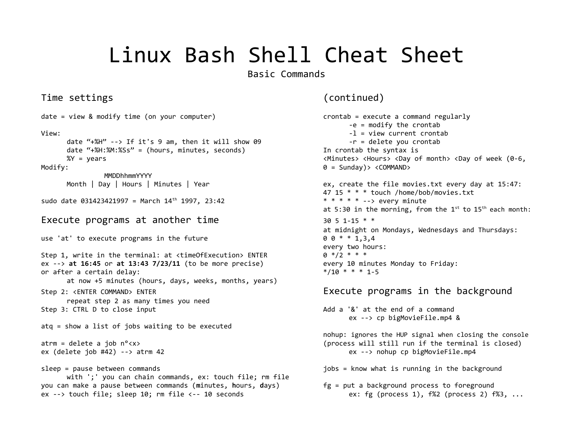Basic Commands

### Time settings (continued)

date = view & modify time (on your computer) execute a command regularly View:  $-1 =$  view current crontab date " $+$ %H" --> If it's 9 am, then it will show 09  $-r =$  delete you crontab date "+%H:%M:%Ss" = (hours, minutes, seconds) In crontab the syntax is %Y = years extending the state of the contract the contract of the contract the contract of the contract of the contract of the contract of the contract of the contract of the contract of the contract of the contract of th Modify:  $\theta =$  Sunday)> <COMMAND> MMDDhhmmYYYY Month | Day | Hours | Minutes | Year ex, create the file movies.txt every day at 15:47: sudo date 031423421997 = March  $14^{th}$  1997, 23:42  $* * * * * * * - >$  every minute Execute programs at another time  $30\,5\,1-15**$ use 'at' to execute programs in the future  $0.0^{\circ}$   $0.0^{\circ}$   $0.0^{\circ}$   $0.0^{\circ}$   $0.0^{\circ}$   $0.0^{\circ}$   $0.0^{\circ}$   $0.0^{\circ}$   $0.0^{\circ}$   $0.0^{\circ}$   $0.0^{\circ}$   $0.0^{\circ}$   $0.0^{\circ}$   $0.0^{\circ}$   $0.0^{\circ}$   $0.0^{\circ}$   $0.0^{\circ}$   $0.0^{\circ}$ Step 1, write in the terminal: at <timeOfExecution> ENTER  $0 * / 2 * * * *$ ex --> **at 16:45** or **at 13:43 7/23/11** (to be more precise) every 10 minutes Monday to Friday: or after a certain delay:  $*/10 * * * 1-5$ at now +5 minutes (hours, days, weeks, months, years) Step 2: <ENTER COMMAND> ENTER repeat step 2 as many times you need Step 3: CTRL D to close input Add a '&' at the end of a command atq = show a list of jobs waiting to be executed atrm = delete a job n°<x> (process will still run if the terminal is closed) ex (delete job #42) --> atrm 42 ex --> nohup cp bigMovieFile.mp4 sleep = pause between commands set and the background in the background is running in the background with ';' you can chain commands, ex: touch file; rm file you can make a pause between commands (**m**inutes, **h**ours, **d**ays) fg = put a background process to foreground ex --> touch file; sleep 10; rm file <-- 10 seconds ex: fg (process 1), f%2 (process 2) f%3, ...

```
-e = modify the crontab
47 15 * * * touch /home/bob/movies.txt
at 5:30 in the morning, from the 1^{st} to 15^{th} each month:
at midnight on Mondays, Wednesdays and Thursdays:
every two hours:
      ex --> cp bigMovieFile.mp4 &
nohup: ignores the HUP signal when closing the console
```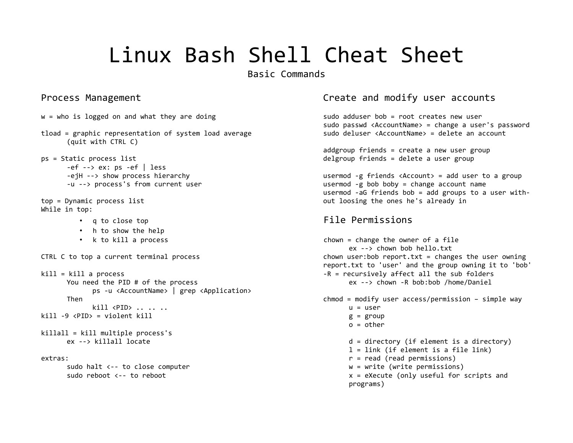Basic Commands

```
w = who is logged on and what they are doing sudo adduser bob = root creates new user
tload = graphic representation of system load average sudo deluser <AccountName> = delete an account
     (quit with CTRL C)
ps = Static process list delgroup friends = delete a user group
    -ef -> ex: ps -ef | less
    -u --> process's from current user usermod -g bob boby = change account name
top = Dynamic process list out loosing the ones he's already in
While in top:
       • q to close top File Permissions
       • h to show the help
       • k to kill a process chown = change the owner of a file
kill = kill a process -R = recursively affect all the sub folders
    You need the PID # of the process ex --> chown -R bob:bob /home/Daniel 
         ps -u <AccountName> | grep <Application>
         kill <PID> .....
kill -9 <PID> = violent kill g = group
killall = kill multiple process's
extras: r = read (read permissions)
     sudo halt <-- to close computer w = write (write permissions)
    sudo reboot <-- to reboot \overline{a} and \overline{b} is a sected value of \overline{a} and \overline{b} is \overline{a} and \overline{a} is \overline{a} and \overline{a} is \overline{a} and \overline{a} is \overline{a} and \overline{a} is \overline{a} is \overline{a} and \over
```
### Process Management **Create and modify user accounts**

sudo passwd <AccountName> = change a user's password

addgroup friends = create a new user group

-ejH --> show process hierarchy usermod -g friends <Account> = add user to a group usermod -aG friends bob = add groups to a user with-

 $ex \rightarrow chown$  how ho hello.txt CTRL C to top a current terminal process chown user:bob report.txt = changes the user owning report.txt to 'user' and the group owning it to 'bob' Then chmod = modify user access/permission – simple way  $o = other$ ex --> killall locate d = directory (if element is a directory) l = link (if element is a file link)

- 
- 

programs)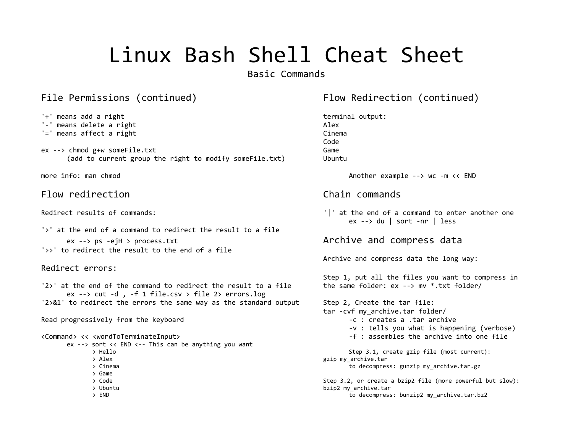Basic Commands

### File Permissions (continued) The Redirection (continued) Filow Redirection (continued)

- '+' means add a right terminal output: '-' means delete a right Alex '=' means affect a right contract and contract a contract of the Cinema
- ex --> chmod g+w someFile.txt Game (add to current group the right to modify someFile.txt) Ubuntu

## Flow redirection examples and commands of the Chain commands

```
'>' at the end of a command to redirect the result to a file
    ex --> ps -ejH > process.txt and compress data
'>>' to redirect the result to the end of a file
```
### Redirect errors:

'2>' at the end of the command to redirect the result to a file the same folder: ex --> mv \*.txt folder/ ex  $\leftarrow$  > cut -d, -f 1 file.csv > file 2> errors.log '2>&1' to redirect the errors the same way as the standard output Step 2, Create the tar file:

Read progressively from the keyboard -c : creates a .tar archive

ex --> sort << END <-- This can be anything you want

- 
- 
- > Game
- 
- 
- 

Code

more info: man chmod Another example --> wc -m << END

Redirect results of commands: '|' at the end of a command to enter another one  $ex \rightarrow du$  | sort -nr | less

Archive and compress data the long way:

Step 1, put all the files you want to compress in

tar -cvf my\_archive.tar folder/ -v : tells you what is happening (verbose) <Command> << <wordToTerminateInput> -f : assembles the archive into one file > Hello Step 3.1, create gzip file (most current): > Alex gzip my\_archive.tar > Cinema to decompress: gunzip my\_archive.tar.gz > Code Step 3.2, or create a bzip2 file (more powerful but slow):

> Ubuntu bzip2 my\_archive.tar

> END to decompress: bunzip2 my\_archive.tar.bz2